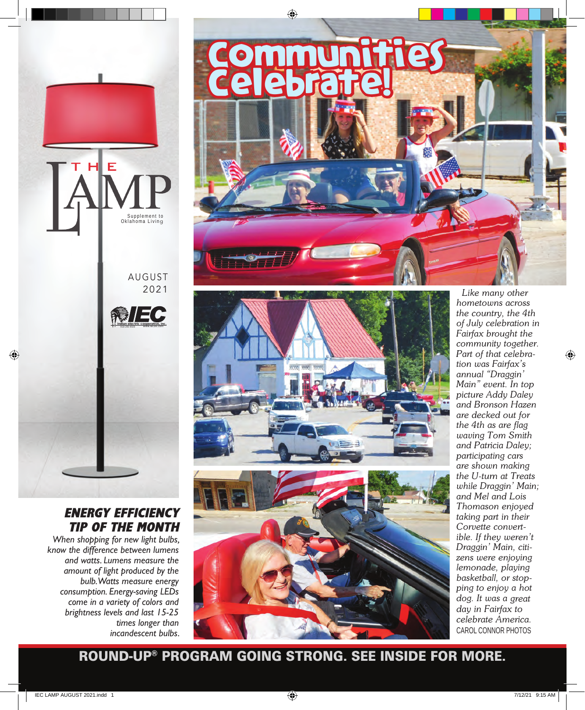

### ENERGY EFFICIENCY TIP OF THE MONTH

*When shopping for new light bulbs, know the difference between lumens and watts. Lumens measure the amount of light produced by the bulb. Watts measure energy consumption. Energy-saving LEDs come in a variety of colors and brightness levels and last 15-25 times longer than incandescent bulbs.*





 *Like many other hometowns across the country, the 4th of July celebration in Fairfax brought the community together. Part of that celebration was Fairfax's annual "Draggin' Main" event. In top picture Addy Daley and Bronson Hazen are decked out for the 4th as are flag waving Tom Smith and Patricia Daley; participating cars are shown making the U-turn at Treats while Draggin' Main; and Mel and Lois Thomason enjoyed taking part in their Corvette convertible. If they weren't Draggin' Main, citizens were enjoying lemonade, playing basketball, or stopping to enjoy a hot dog. It was a great day in Fairfax to celebrate America.*  CAROL CONNOR PHOTOS

ROUND-UP® PROGRAM GOING STRONG. SEE INSIDE FOR MORE.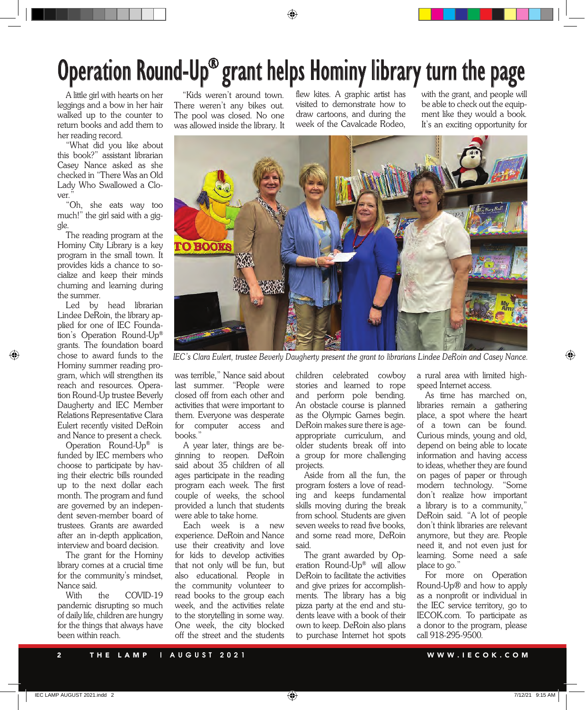# Operation Round-Up® grant helps Hominy library turn the page

A little girl with hearts on her leggings and a bow in her hair walked up to the counter to return books and add them to her reading record.

"What did you like about this book?" assistant librarian Casey Nance asked as she checked in "There Was an Old Lady Who Swallowed a Clover."

"Oh, she eats way too much!" the girl said with a giggle.

The reading program at the Hominy City Library is a key program in the small town. It provides kids a chance to socialize and keep their minds churning and learning during the summer.

Led by head librarian Lindee DeRoin, the library applied for one of IEC Foundation's Operation Round-Up® grants. The foundation board chose to award funds to the Hominy summer reading program, which will strengthen its reach and resources. Operation Round-Up trustee Beverly Daugherty and IEC Member Relations Representative Clara Eulert recently visited DeRoin and Nance to present a check.

Operation Round-Up® is funded by IEC members who choose to participate by having their electric bills rounded up to the next dollar each month. The program and fund are governed by an independent seven-member board of trustees. Grants are awarded after an in-depth application, interview and board decision.

The grant for the Hominy library comes at a crucial time for the community's mindset, Nance said.<br>With the

COVID-19 pandemic disrupting so much of daily life, children are hungry for the things that always have been within reach.

"Kids weren't around town. There weren't any bikes out. The pool was closed. No one was allowed inside the library. It

flew kites. A graphic artist has visited to demonstrate how to draw cartoons, and during the week of the Cavalcade Rodeo,

with the grant, and people will be able to check out the equipment like they would a book. It's an exciting opportunity for



 *IEC's Clara Eulert, trustee Beverly Daugherty present the grant to librarians Lindee DeRoin and Casey Nance.*

was terrible," Nance said about last summer. "People were closed off from each other and activities that were important to them. Everyone was desperate for computer access and books.'

A year later, things are beginning to reopen. DeRoin said about 35 children of all ages participate in the reading program each week. The first couple of weeks, the school provided a lunch that students were able to take home.

Each week is a new experience. DeRoin and Nance use their creativity and love for kids to develop activities that not only will be fun, but also educational. People in the community volunteer to read books to the group each week, and the activities relate to the storytelling in some way. One week, the city blocked off the street and the students

children celebrated cowboy stories and learned to rope and perform pole bending. An obstacle course is planned as the Olympic Games begin. DeRoin makes sure there is ageappropriate curriculum, and older students break off into a group for more challenging projects.

Aside from all the fun, the program fosters a love of reading and keeps fundamental skills moving during the break from school. Students are given seven weeks to read five books, and some read more, DeRoin said.

The grant awarded by Operation Round-Up® will allow DeRoin to facilitate the activities and give prizes for accomplishments. The library has a big pizza party at the end and students leave with a book of their own to keep. DeRoin also plans to purchase Internet hot spots a rural area with limited highspeed Internet access.

As time has marched on, libraries remain a gathering place, a spot where the heart of a town can be found. Curious minds, young and old, depend on being able to locate information and having access to ideas, whether they are found on pages of paper or through modern technology. "Some don't realize how important a library is to a community," DeRoin said. "A lot of people don't think libraries are relevant anymore, but they are. People need it, and not even just for learning. Some need a safe place to go."

For more on Operation Round-Up® and how to apply as a nonprofit or individual in the IEC service territory, go to IECOK.com. To participate as a donor to the program, please call 918-295-9500.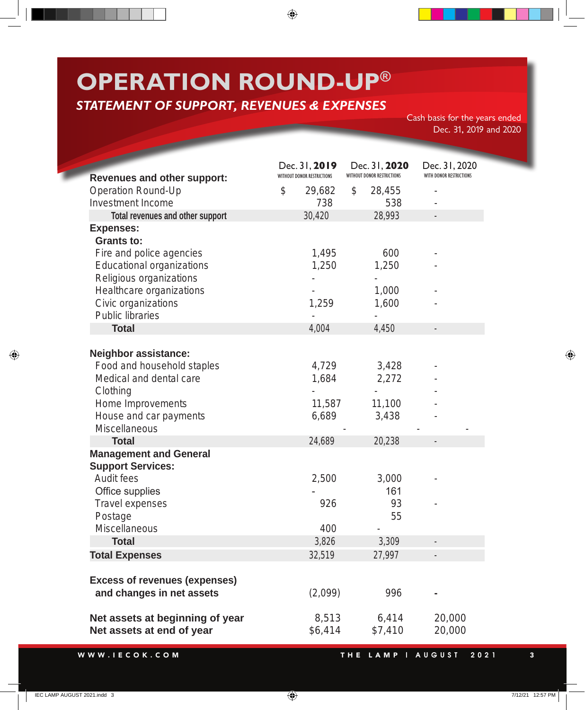## **OPERATION ROUND-UP®**

## **STATEMENT OF SUPPORT, REVENUES & EXPENSES**

Cash basis for the years ended Dec. 31, 2019 and 2020

|                                                                   | Dec. 31, 2019              | Dec. 31, 2020<br><b>WITHOUT DONOR RESTRICTIONS</b> | Dec. 31, 2020           |
|-------------------------------------------------------------------|----------------------------|----------------------------------------------------|-------------------------|
| <b>Revenues and other support:</b>                                | WITHOUT DONOR RESTRICTIONS |                                                    | WITH DONOR RESTRICTIONS |
| <b>Operation Round-Up</b>                                         | $\mathcal{S}$<br>29,682    | $\mathfrak{F}$<br>28,455                           |                         |
| <b>Investment Income</b>                                          | 738                        | 538                                                |                         |
| Total revenues and other support                                  | 30,420                     | 28,993                                             |                         |
| <b>Expenses:</b><br><b>Grants to:</b>                             |                            |                                                    |                         |
| Fire and police agencies                                          | 1,495                      | 600                                                |                         |
| <b>Educational organizations</b>                                  | 1,250                      | 1,250                                              |                         |
| Religious organizations                                           |                            |                                                    |                         |
| Healthcare organizations                                          |                            | 1,000                                              |                         |
| Civic organizations                                               | 1,259                      | 1,600                                              |                         |
| <b>Public libraries</b>                                           |                            |                                                    |                         |
| <b>Total</b>                                                      | 4,004                      | 4,450                                              |                         |
|                                                                   |                            |                                                    |                         |
| <b>Neighbor assistance:</b>                                       |                            |                                                    |                         |
| Food and household staples                                        | 4,729                      | 3,428                                              |                         |
| Medical and dental care                                           | 1,684                      | 2,272                                              |                         |
| Clothing                                                          |                            |                                                    |                         |
| Home Improvements                                                 | 11,587                     | 11,100                                             |                         |
| House and car payments                                            | 6,689                      | 3,438                                              |                         |
| <b>Miscellaneous</b>                                              |                            |                                                    |                         |
| <b>Total</b>                                                      | 24,689                     | 20,238                                             | -                       |
| <b>Management and General</b>                                     |                            |                                                    |                         |
| <b>Support Services:</b>                                          |                            |                                                    |                         |
| Audit fees                                                        | 2,500                      | 3,000                                              |                         |
| Office supplies                                                   |                            | 161                                                |                         |
| <b>Travel expenses</b>                                            | 926                        | 93                                                 |                         |
| Postage                                                           |                            | 55                                                 |                         |
| <b>Miscellaneous</b>                                              | 400                        |                                                    |                         |
| <b>Total</b>                                                      | 3,826                      | 3,309                                              |                         |
| <b>Total Expenses</b>                                             | 32,519                     | 27,997                                             |                         |
|                                                                   |                            |                                                    |                         |
| <b>Excess of revenues (expenses)</b><br>and changes in net assets |                            | 996                                                |                         |
|                                                                   | (2,099)                    |                                                    |                         |
| Net assets at beginning of year                                   | 8,513                      | 6,414                                              | 20,000                  |
| Net assets at end of year                                         | \$6,414                    | \$7,410                                            | 20,000                  |
|                                                                   |                            |                                                    |                         |